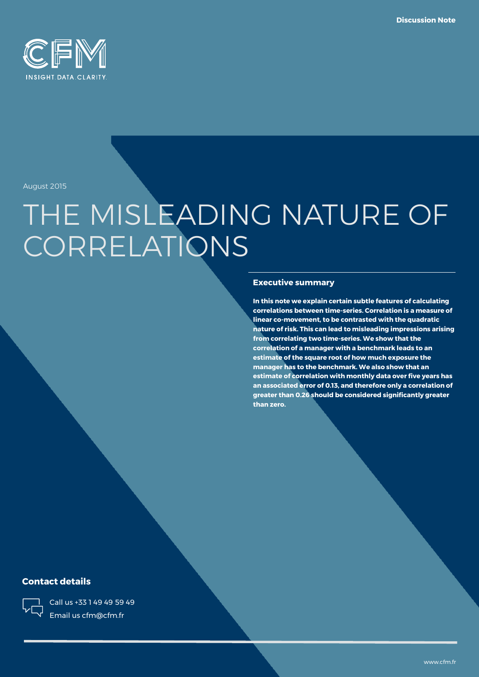

August 2015

# THE MISLEADING NATURE OF **CORRELATIONS**

### **Executive summary**

**In this note we explain certain subtle features of calculating correlations between time-series. Correlation is a measure of linear co-movement, to be contrasted with the quadratic nature of risk. This can lead to misleading impressions arising from correlating two time-series. We show that the correlation of a manager with a benchmark leads to an estimate of the square root of how much exposure the manager has to the benchmark. We also show that an estimate of correlation with monthly data over five years has an associated error of 0.13, and therefore only a correlation of greater than 0.26 should be considered significantly greater than zero.**

### **Contact details**



Call us +33 1 49 49 59 49 Email us cfm@cfm.fr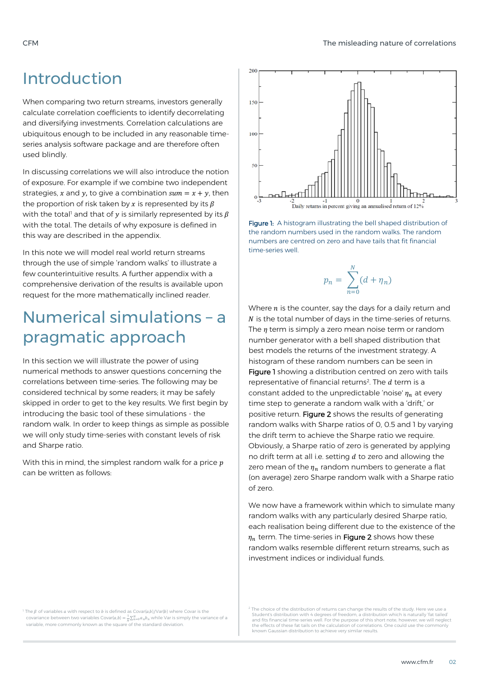### Introduction

When comparing two return streams, investors generally calculate correlation coefficients to identify decorrelating and diversifying investments. Correlation calculations are ubiquitous enough to be included in any reasonable timeseries analysis software package and are therefore often used blindly.

In discussing correlations we will also introduce the notion of exposure. For example if we combine two independent strategies, x and y, to give a combination  $sum = x + y$ , then the proportion of risk taken by x is represented by its  $\beta$ with the total<sup>1</sup> and that of y is similarly represented by its  $\beta$ with the total. The details of why exposure is defined in this way are described in the appendix.

In this note we will model real world return streams through the use of simple 'random walks' to illustrate a few counterintuitive results. A further appendix with a comprehensive derivation of the results is available upon request for the more mathematically inclined reader.

# Numerical simulations – a pragmatic approach

In this section we will illustrate the power of using numerical methods to answer questions concerning the correlations between time-series. The following may be considered technical by some readers; it may be safely skipped in order to get to the key results. We first begin by introducing the basic tool of these simulations - the random walk. In order to keep things as simple as possible we will only study time-series with constant levels of risk and Sharpe ratio.

With this in mind, the simplest random walk for a price  $p$ can be written as follows:



Figure 1: A histogram illustrating the bell shaped distribution of the random numbers used in the random walks. The random numbers are centred on zero and have tails that fit financial time-series well.

$$
p_n = \sum_{n=0}^{N} (d + \eta_n)
$$

Where  $n$  is the counter, say the days for a daily return and  $N$  is the total number of days in the time-series of returns. The  $\eta$  term is simply a zero mean noise term or random number generator with a bell shaped distribution that best models the returns of the investment strategy. A histogram of these random numbers can be seen in Figure 1 showing a distribution centred on zero with tails representative of financial returns<sup>2</sup>. The  $d$  term is a constant added to the unpredictable 'noise'  $\eta_n$  at every time step to generate a random walk with a 'drift,' or positive return. Figure 2 shows the results of generating random walks with Sharpe ratios of 0, 0.5 and 1 by varying the drift term to achieve the Sharpe ratio we require. Obviously, a Sharpe ratio of zero is generated by applying no drift term at all i.e. setting  $d$  to zero and allowing the zero mean of the  $\eta_n$  random numbers to generate a flat (on average) zero Sharpe random walk with a Sharpe ratio of zero.

We now have a framework within which to simulate many random walks with any particularly desired Sharpe ratio, each realisation being different due to the existence of the  $\eta_n$  term. The time-series in Figure 2 shows how these random walks resemble different return streams, such as investment indices or individual funds.

<sup>1</sup> The  $\beta$  of variables  $\alpha$  with respect to  $\beta$  is defined as Covar( $\alpha$ , $\beta$ )/Var( $\beta$ ) where Covar is the covariance between two variables Covar( $a,b$ ) =  $\frac{1}{N}\sum_{n=0}^{N}a_nb_n$  while Var is simply the variance of a variable, more commonly known as the square of the standard deviation.

 $2$  The choice of the distribution of returns can change the results of the study. Here v Student's distribution with 4 degrees of freedom, a distribution which is naturally 'fat tailed' and fits financial time-series well. For the purpose of this short note, however, we will neglect the effects of these fat tails on the calculation of correlations. One could use the commonly known Gaussian distribution to achieve very similar results.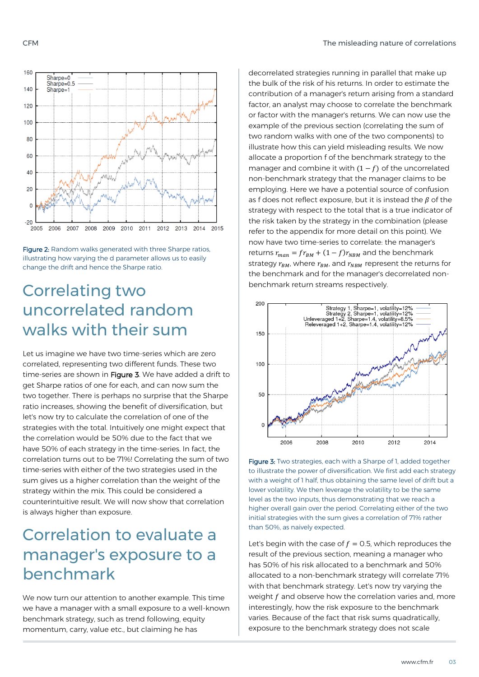#### CFM The misleading nature of correlations



Figure 2: Random walks generated with three Sharpe ratios, illustrating how varying the d parameter allows us to easily change the drift and hence the Sharpe ratio.

## Correlating two uncorrelated random walks with their sum

Let us imagine we have two time-series which are zero correlated, representing two different funds. These two time-series are shown in Figure 3. We have added a drift to get Sharpe ratios of one for each, and can now sum the two together. There is perhaps no surprise that the Sharpe ratio increases, showing the benefit of diversification, but let's now try to calculate the correlation of one of the strategies with the total. Intuitively one might expect that the correlation would be 50% due to the fact that we have 50% of each strategy in the time-series. In fact, the correlation turns out to be 71%! Correlating the sum of two time-series with either of the two strategies used in the sum gives us a higher correlation than the weight of the strategy within the mix. This could be considered a counterintuitive result. We will now show that correlation is always higher than exposure.

# Correlation to evaluate a manager's exposure to a benchmark

We now turn our attention to another example. This time we have a manager with a small exposure to a well-known benchmark strategy, such as trend following, equity momentum, carry, value etc., but claiming he has

decorrelated strategies running in parallel that make up the bulk of the risk of his returns. In order to estimate the contribution of a manager's return arising from a standard factor, an analyst may choose to correlate the benchmark or factor with the manager's returns. We can now use the example of the previous section (correlating the sum of two random walks with one of the two components) to illustrate how this can yield misleading results. We now allocate a proportion f of the benchmark strategy to the manager and combine it with  $(1 - f)$  of the uncorrelated non-benchmark strategy that the manager claims to be employing. Here we have a potential source of confusion as f does not reflect exposure, but it is instead the  $\beta$  of the strategy with respect to the total that is a true indicator of the risk taken by the strategy in the combination (please refer to the appendix for more detail on this point). We now have two time-series to correlate: the manager's returns  $r_{man} = fr_{BM} + (1 - f)r_{NBM}$  and the benchmark strategy  $r_{BM}$ , where  $r_{BM}$ , and  $r_{NBM}$  represent the returns for the benchmark and for the manager's decorrelated nonbenchmark return streams respectively.



Figure 3: Two strategies, each with a Sharpe of 1, added together to illustrate the power of diversification. We first add each strategy with a weight of 1 half, thus obtaining the same level of drift but a lower volatility. We then leverage the volatility to be the same level as the two inputs, thus demonstrating that we reach a higher overall gain over the period. Correlating either of the two initial strategies with the sum gives a correlation of 71% rather than 50%, as naively expected.

Let's begin with the case of  $f = 0.5$ , which reproduces the result of the previous section, meaning a manager who has 50% of his risk allocated to a benchmark and 50% allocated to a non-benchmark strategy will correlate 71% with that benchmark strategy. Let's now try varying the weight  $f$  and observe how the correlation varies and, more interestingly, how the risk exposure to the benchmark varies. Because of the fact that risk sums quadratically, exposure to the benchmark strategy does not scale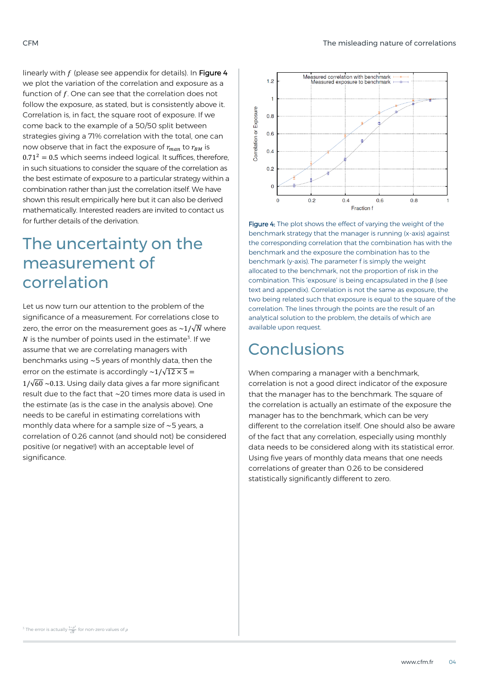linearly with  $f$  (please see appendix for details). In Figure 4 we plot the variation of the correlation and exposure as a function of  $f$ . One can see that the correlation does not follow the exposure, as stated, but is consistently above it. Correlation is, in fact, the square root of exposure. If we come back to the example of a 50/50 split between strategies giving a 71% correlation with the total, one can now observe that in fact the exposure of  $r_{man}$  to  $r_{BM}$  is  $0.71<sup>2</sup> = 0.5$  which seems indeed logical. It suffices, therefore, in such situations to consider the square of the correlation as the best estimate of exposure to a particular strategy within a combination rather than just the correlation itself. We have shown this result empirically here but it can also be derived mathematically. Interested readers are invited to contact us for further details of the derivation.

# The uncertainty on the measurement of correlation

Let us now turn our attention to the problem of the significance of a measurement. For correlations close to zero, the error on the measurement goes as  $\sim 1/\sqrt{N}$  where  $N$  is the number of points used in the estimate<sup>3</sup>. If we assume that we are correlating managers with benchmarks using ~5 years of monthly data, then the error on the estimate is accordingly  $\sim\!\!1/\sqrt{12\times 5}$  =  $1/\sqrt{60} \sim 0.13$ . Using daily data gives a far more significant result due to the fact that ~20 times more data is used in the estimate (as is the case in the analysis above). One needs to be careful in estimating correlations with monthly data where for a sample size of ~5 years, a correlation of 0.26 cannot (and should not) be considered positive (or negative!) with an acceptable level of significance.



Figure 4: The plot shows the effect of varying the weight of the benchmark strategy that the manager is running (x-axis) against the corresponding correlation that the combination has with the benchmark and the exposure the combination has to the benchmark (y-axis). The parameter f is simply the weight allocated to the benchmark, not the proportion of risk in the combination. This 'exposure' is being encapsulated in the β (see text and appendix). Correlation is not the same as exposure, the two being related such that exposure is equal to the square of the correlation. The lines through the points are the result of an analytical solution to the problem, the details of which are available upon request.

# Conclusions

When comparing a manager with a benchmark, correlation is not a good direct indicator of the exposure that the manager has to the benchmark. The square of the correlation is actually an estimate of the exposure the manager has to the benchmark, which can be very different to the correlation itself. One should also be aware of the fact that any correlation, especially using monthly data needs to be considered along with its statistical error. Using five years of monthly data means that one needs correlations of greater than 0.26 to be considered statistically significantly different to zero.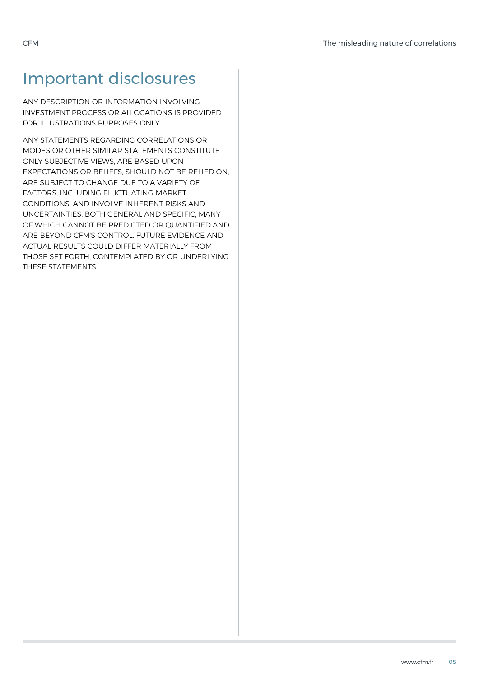# Important disclosures

ANY DESCRIPTION OR INFORMATION INVOLVING INVESTMENT PROCESS OR ALLOCATIONS IS PROVIDED FOR ILLUSTRATIONS PURPOSES ONLY.

ANY STATEMENTS REGARDING CORRELATIONS OR MODES OR OTHER SIMILAR STATEMENTS CONSTITUTE ONLY SUBJECTIVE VIEWS, ARE BASED UPON EXPECTATIONS OR BELIEFS, SHOULD NOT BE RELIED ON, ARE SUBJECT TO CHANGE DUE TO A VARIETY OF FACTORS, INCLUDING FLUCTUATING MARKET CONDITIONS, AND INVOLVE INHERENT RISKS AND UNCERTAINTIES, BOTH GENERAL AND SPECIFIC, MANY OF WHICH CANNOT BE PREDICTED OR QUANTIFIED AND ARE BEYOND CFM'S CONTROL. FUTURE EVIDENCE AND ACTUAL RESULTS COULD DIFFER MATERIALLY FROM THOSE SET FORTH, CONTEMPLATED BY OR UNDERLYING THESE STATEMENTS.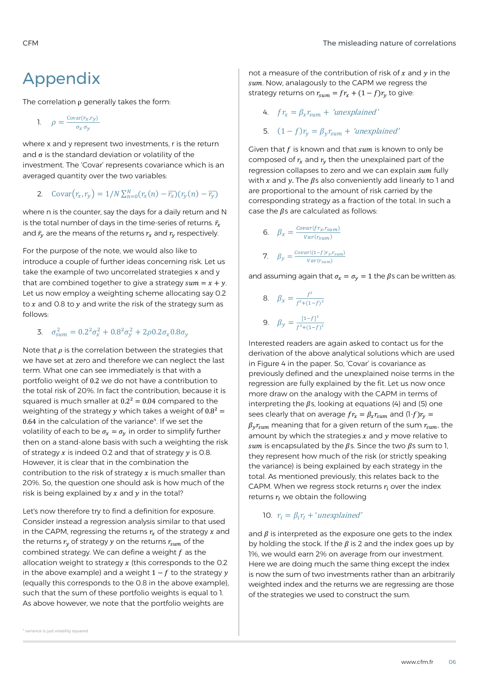### Appendix

The correlation  $\rho$  generally takes the form:

1.  $\rho = \frac{\text{Covar}(r_x, r_y)}{r}$  $\sigma_x \sigma_y$ 

where x and y represent two investments, r is the return and  $\sigma$  is the standard deviation or volatility of the investment. The 'Covar' represents covariance which is an averaged quantity over the two variables:

2. 
$$
\text{Covar}(r_x, r_y) = 1/N \sum_{n=0}^{N} (r_x(n) - \overline{r_x})(r_y(n) - \overline{r_y})
$$

where n is the counter, say the days for a daily return and N is the total number of days in the time-series of returns.  $\bar{r}_x$ and  $\bar{r}_v$  are the means of the returns  $r_x$  and  $r_y$  respectively.

For the purpose of the note, we would also like to introduce a couple of further ideas concerning risk. Let us take the example of two uncorrelated strategies x and y that are combined together to give a strategy  $sum = x + y$ . Let us now employ a weighting scheme allocating say 0.2 to  $x$  and 0.8 to  $y$  and write the risk of the strategy sum as follows:

3.  $\sigma_{sum}^2 = 0.2^2 \sigma_x^2 + 0.8^2 \sigma_y^2 + 2 \rho 0.2 \sigma_x 0.8 \sigma_y$ 

Note that  $\rho$  is the correlation between the strategies that we have set at zero and therefore we can neglect the last term. What one can see immediately is that with a portfolio weight of 0.2 we do not have a contribution to the total risk of 20%. In fact the contribution, because it is squared is much smaller at  $0.2^2 = 0.04$  compared to the weighting of the strategy v which takes a weight of  $0.8^2$  = 0.64 in the calculation of the variance<sup>4</sup>. If we set the volatility of each to be  $\sigma_x = \sigma_v$  in order to simplify further then on a stand-alone basis with such a weighting the risk of strategy  $x$  is indeed 0.2 and that of strategy  $y$  is 0.8. However, it is clear that in the combination the contribution to the risk of strategy  $x$  is much smaller than 20%. So, the question one should ask is how much of the risk is being explained by  $x$  and  $y$  in the total?

Let's now therefore try to find a definition for exposure. Consider instead a regression analysis similar to that used in the CAPM, regressing the returns  $r<sub>x</sub>$  of the strategy  $x$  and the returns  $r_v$  of strategy y on the returns  $r_{sum}$  of the combined strategy. We can define a weight  $f$  as the allocation weight to strategy  $x$  (this corresponds to the 0.2 in the above example) and a weight  $1 - f$  to the strategy y (equally this corresponds to the 0.8 in the above example), such that the sum of these portfolio weights is equal to 1. As above however, we note that the portfolio weights are

not a measure of the contribution of risk of  $x$  and  $y$  in the sum. Now, analagously to the CAPM we regress the strategy returns on  $r_{sum} = fr_x + (1 - f)r_y$  to give:

4. 
$$
f r_x = \beta_x r_{sum} + 'unexplained'
$$

5.  $(1 - f)r_v = \beta_v r_{sum} + 'unexplained'$ 

Given that  $f$  is known and that  $sum$  is known to only be composed of  $r<sub>r</sub>$  and  $r<sub>v</sub>$  then the unexplained part of the regression collapses to zero and we can explain sum fully with  $x$  and  $y$ . The  $\beta$ s also conveniently add linearly to 1 and are proportional to the amount of risk carried by the corresponding strategy as a fraction of the total. In such a case the  $\beta$ s are calculated as follows:

6. 
$$
\beta_x = \frac{Covar(fr_x, r_{sum})}{Var(r_{sum})}
$$
  
7. 
$$
\beta_y = \frac{Covar((1-f)r_x, r_{sum})}{Var(r_{sum})}
$$

and assuming again that  $\sigma_x = \sigma_y = 1$  the  $\beta$ s can be written as:

8. 
$$
\beta_x = \frac{f^2}{f^2 + (1 - f)^2}
$$
  
9.  $\beta_y = \frac{[1 - f]^2}{f^2 + (1 - f)^2}$ 

Interested readers are again asked to contact us for the derivation of the above analytical solutions which are used in Figure 4 in the paper. So, 'Covar' is covariance as previously defined and the unexplained noise terms in the regression are fully explained by the fit. Let us now once more draw on the analogy with the CAPM in terms of interpreting the  $\beta$ s, looking at equations (4) and (5) one sees clearly that on average  $fr_x = \beta_x r_{sum}$  and  $(1-f)r_y =$  $\beta_v r_{sum}$  meaning that for a given return of the sum  $r_{sum}$ , the amount by which the strategies  $x$  and  $y$  move relative to sum is encapsulated by the  $\beta$ s. Since the two  $\beta$ s sum to 1, they represent how much of the risk (or strictly speaking the variance) is being explained by each strategy in the total. As mentioned previously, this relates back to the CAPM. When we regress stock returns  $r_i$  over the index returns  $r_I$  we obtain the following

### 10.  $r_i = \beta_i r_i + 'unexplained'$

and  $\beta$  is interpreted as the exposure one gets to the index by holding the stock. If the  $\beta$  is 2 and the index goes up by 1%, we would earn 2% on average from our investment. Here we are doing much the same thing except the index is now the sum of two investments rather than an arbitrarily weighted index and the returns we are regressing are those of the strategies we used to construct the sum.